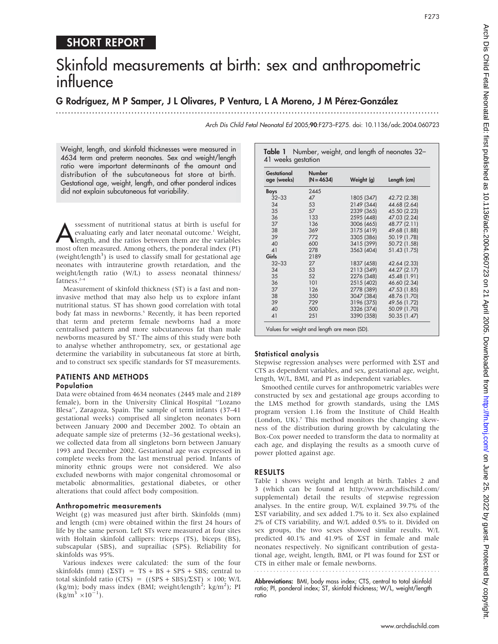# SHORT REPORT

# Skinfold measurements at birth: sex and anthropometric influence

### G Rodríguez, M P Samper, J L Olivares, P Ventura, L A Moreno, J M Pérez-González

...............................................................................................................................

Arch Dis Child Fetal Neonatal Ed 2005;90:F273–F275. doi: 10.1136/adc.2004.060723

Weight, length, and skinfold thicknesses were measured in 4634 term and preterm neonates. Sex and weight/length ratio were important determinants of the amount and distribution of the subcutaneous fat store at birth. Gestational age, weight, length, and other ponderal indices did not explain subcutaneous fat variability.

Sessment of nutritional status at birth is useful for evaluating early and later neonatal outcome.<sup>1</sup> Weight, length, and the ratios between them are the variables most often measured. Among others, the ponderal index (PI) evaluating early and later neonatal outcome.<sup>1</sup> Weight, most often measured. Among others, the ponderal index (PI) (weight/length<sup>3</sup>) is used to classify small for gestational age neonates with intrauterine growth retardation, and the weight/length ratio (W/L) to assess neonatal thinness/ fatness.2–4

Measurement of skinfold thickness (ST) is a fast and noninvasive method that may also help us to explore infant nutritional status. ST has shown good correlation with total body fat mass in newborns.<sup>5</sup> Recently, it has been reported that term and preterm female newborns had a more centralised pattern and more subcutaneous fat than male newborns measured by ST.<sup>6</sup> The aims of this study were both to analyse whether anthropometry, sex, or gestational age determine the variability in subcutaneous fat store at birth, and to construct sex specific standards for ST measurements.

## PATIENTS AND METHODS

#### Population

Data were obtained from 4634 neonates (2445 male and 2189 female), born in the University Clinical Hospital ''Lozano Blesa'', Zaragoza, Spain. The sample of term infants (37–41 gestational weeks) comprised all singleton neonates born between January 2000 and December 2002. To obtain an adequate sample size of preterms (32–36 gestational weeks), we collected data from all singletons born between January 1993 and December 2002. Gestational age was expressed in complete weeks from the last menstrual period. Infants of minority ethnic groups were not considered. We also excluded newborns with major congenital chromosomal or metabolic abnormalities, gestational diabetes, or other alterations that could affect body composition.

#### Anthropometric measurements

Weight (g) was measured just after birth. Skinfolds (mm) and length (cm) were obtained within the first 24 hours of life by the same person. Left STs were measured at four sites with Holtain skinfold callipers: triceps (TS), biceps (BS), subscapular (SBS), and suprailiac (SPS). Reliability for skinfolds was 95%.

Various indexes were calculated: the sum of the four skinfolds (mm)  $(\Sigma ST) = TS + BS + SPS + SBS$ ; central to total skinfold ratio (CTS) =  $((SPS + SBS)/\Sigma ST) \times 100$ ; W/L (kg/m); body mass index (BMI; weight/length<sup>2</sup>; kg/m<sup>2</sup>); PI  $(\text{kg/m}^3 \times 10^{-1})$ .

| Gestational<br>age (weeks) | <b>Number</b><br>$(N = 4634)$ | Weight (g) | Length (cm)  |
|----------------------------|-------------------------------|------------|--------------|
| Boys                       | 2445                          |            |              |
| $32 - 33$                  | 47                            | 1805 (347) | 42.72 (2.38) |
| 34                         | 53                            | 2149 (344) | 44.68 (2.64) |
| 35                         | 57                            | 2339 (365) | 45.50 (2.23) |
| 36                         | 133                           | 2595 (448) | 47.03 (2.24) |
| 37                         | 136                           | 3006 (465) | 48.77 (2.11) |
| 38                         | 369                           | 3175 (419) | 49.68 (1.88) |
| 39                         | 772                           | 3305 (386) | 50.19 (1.78) |
| 40                         | 600                           | 3415 (399) | 50.72 (1.58) |
| 41                         | 278                           | 3563 (404) | 51.43 (1.75) |
| Girls                      | 2189                          |            |              |
| $32 - 33$                  | 27                            | 1837 (458) | 42.64 (2.33) |
| 34                         | 53                            | 2113 (349) | 44.27 (2.17) |
| 35                         | 52                            | 2276 (348) | 45.48 (1.91) |
| 36                         | 101                           | 2515 (402) | 46.60 (2.34) |
| 37                         | 126                           | 2778 (389) | 47.53 (1.85) |
| 38                         | 350                           | 3047 (384) | 48.76 (1.70) |
| 39                         | 729                           | 3196 (375) | 49.56 (1.72) |
| 40                         | 500                           | 3326 (374) | 50.09 (1.70) |
| 41                         | 251                           | 3390 (358) | 50.35 (1.47) |

#### Statistical analysis

Stepwise regression analyses were performed with  $\Sigma ST$  and CTS as dependent variables, and sex, gestational age, weight, length, W/L, BMI, and PI as independent variables.

Smoothed centile curves for anthropometric variables were constructed by sex and gestational age groups according to the LMS method for growth standards, using the LMS program version 1.16 from the Institute of Child Health (London, UK).<sup>7</sup> This method monitors the changing skewness of the distribution during growth by calculating the Box-Cox power needed to transform the data to normality at each age, and displaying the results as a smooth curve of power plotted against age.

#### RESULTS

Table 1 shows weight and length at birth. Tables 2 and 3 (which can be found at http://www.archdischild.com/ supplemental) detail the results of stepwise regression analyses. In the entire group, W/L explained 39.7% of the  $\Sigma$ ST variability, and sex added 1.7% to it. Sex also explained 2% of CTS variability, and W/L added 0.5% to it. Divided on sex groups, the two sexes showed similar results. W/L predicted 40.1% and 41.9% of  $\Sigma ST$  in female and male neonates respectively. No significant contribution of gestational age, weight, length, BMI, or PI was found for  $\Sigma ST$  or CTS in either male or female newborns.

Abbreviations: BMI, body mass index; CTS, central to total skinfold ratio; PI, ponderal index; ST, skinfold thickness; W/L, weight/length ratio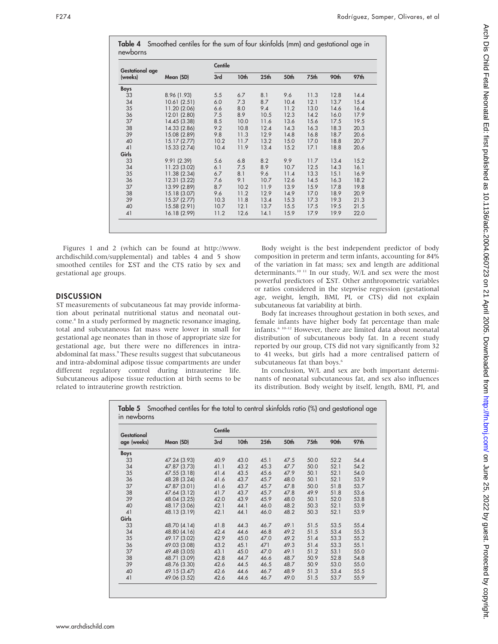| <b>Gestational age</b><br>(weeks) | Mean (SD)    | Centile |      |                  |      |      |      |      |
|-----------------------------------|--------------|---------|------|------------------|------|------|------|------|
|                                   |              | 3rd     | 10th | 25 <sub>th</sub> | 50th | 75th | 90th | 97th |
| Boys                              |              |         |      |                  |      |      |      |      |
| 33                                | 8.96 (1.93)  | 5.5     | 6.7  | 8.1              | 9.6  | 11.3 | 12.8 | 14.4 |
| 34                                | 10.61(2.51)  | 6.0     | 7.3  | 8.7              | 10.4 | 12.1 | 13.7 | 15.4 |
| 35                                | 11.20 (2.06) | 6.6     | 8.0  | 9.4              | 11.2 | 13.0 | 14.6 | 16.4 |
| 36                                | 12.01 (2.80) | 7.5     | 8.9  | 10.5             | 12.3 | 14.2 | 16.0 | 17.9 |
| 37                                | 14.45 (3.38) | 8.5     | 10.0 | 11.6             | 13.6 | 15.6 | 17.5 | 19.5 |
| 38                                | 14.33 (2.86) | 9.2     | 10.8 | 12.4             | 14.3 | 16.3 | 18.3 | 20.3 |
| 39                                | 15.08 (2.89) | 9.8     | 11.3 | 12.9             | 14.8 | 16.8 | 18.7 | 20.6 |
| 40                                | 15.17(2.77)  | 10.2    | 11.7 | 13.2             | 15.0 | 17.0 | 18.8 | 20.7 |
| 41                                | 15.33 (2.74) | 10.4    | 11.9 | 13.4             | 15.2 | 17.1 | 18.8 | 20.6 |
| Girls                             |              |         |      |                  |      |      |      |      |
| 33                                | 9.91 (2.39)  | 5.6     | 6.8  | 8.2              | 9.9  | 11.7 | 13.4 | 15.2 |
| 34                                | 11.23 (3.02) | 6.1     | 7.5  | 8.9              | 10.7 | 12.5 | 14.3 | 16.1 |
| 35                                | 11.38 (2.34) | 6.7     | 8.1  | 9.6              | 11.4 | 13.3 | 15.1 | 16.9 |
| 36                                | 12.31 (3.22) | 7.6     | 9.1  | 10.7             | 12.6 | 14.5 | 16.3 | 18.2 |
| 37                                | 13.99 (2.89) | 8.7     | 10.2 | 11.9             | 13.9 | 15.9 | 17.8 | 19.8 |
| 38                                | 15.18 (3.07) | 9.6     | 11.2 | 12.9             | 14.9 | 17.0 | 18.9 | 20.9 |
| 39                                | 15.37 (2.77) | 10.3    | 11.8 | 13.4             | 15.3 | 17.3 | 19.3 | 21.3 |
| 40                                | 15.58 (2.91) | 10.7    | 12.1 | 13.7             | 15.5 | 17.5 | 19.5 | 21.5 |
| 41                                | 16.18 (2.99) | 11.2    | 12.6 | 14.1             | 15.9 | 17.9 | 19.9 | 22.0 |

Figures 1 and 2 (which can be found at http://www. archdischild.com/supplemental) and tables 4 and 5 show smoothed centiles for  $\Sigma ST$  and the CTS ratio by sex and gestational age groups.

#### DISCUSSION

ST measurements of subcutaneous fat may provide information about perinatal nutritional status and neonatal outcome.<sup>8</sup> In a study performed by magnetic resonance imaging, total and subcutaneous fat mass were lower in small for gestational age neonates than in those of appropriate size for gestational age, but there were no differences in intraabdominal fat mass.<sup>9</sup> These results suggest that subcutaneous and intra-abdominal adipose tissue compartments are under different regulatory control during intrauterine life. Subcutaneous adipose tissue reduction at birth seems to be related to intrauterine growth restriction.

Body weight is the best independent predictor of body composition in preterm and term infants, accounting for 84% of the variation in fat mass; sex and length are additional determinants.<sup>10 11</sup> In our study, W/L and sex were the most powerful predictors of  $\Sigma$ ST. Other anthropometric variables or ratios considered in the stepwise regression (gestational age, weight, length, BMI, PI, or CTS) did not explain subcutaneous fat variability at birth.

Body fat increases throughout gestation in both sexes, and female infants have higher body fat percentage than male infants.6 10–12 However, there are limited data about neonatal distribution of subcutaneous body fat. In a recent study reported by our group, CTS did not vary significantly from 32 to 41 weeks, but girls had a more centralised pattern of subcutaneous fat than boys.<sup>6</sup>

In conclusion, W/L and sex are both important determinants of neonatal subcutaneous fat, and sex also influences its distribution. Body weight by itself, length, BMI, PI, and

Table 5 Smoothed centiles for the total to central skinfolds ratio (%) and gestational age in newborns

| Gestational<br>age (weeks) |              | Centile |      |                  |      |             |      |      |
|----------------------------|--------------|---------|------|------------------|------|-------------|------|------|
|                            | Mean (SD)    | 3rd     | 10th | 25 <sub>th</sub> | 50th | <b>75th</b> | 90th | 97th |
| Boys                       |              |         |      |                  |      |             |      |      |
| 33                         | 47.24 (3.93) | 40.9    | 43.0 | 45.1             | 47.5 | 50.0        | 52.2 | 54.4 |
| 34                         | 47.87 (3.73) | 41.1    | 43.2 | 45.3             | 47.7 | 50.0        | 52.1 | 54.2 |
| 35                         | 47.55 (3.18) | 41.4    | 43.5 | 45.6             | 47.9 | 50.1        | 52.1 | 54.0 |
| 36                         | 48.28 (3.24) | 41.6    | 43.7 | 45.7             | 48.0 | 50.1        | 52.1 | 53.9 |
| 37                         | 47.87 (3.01) | 41.6    | 43.7 | 45.7             | 47.8 | 50.0        | 51.8 | 53.7 |
| 38                         | 47.64 (3.12) | 41.7    | 43.7 | 45.7             | 47.8 | 49.9        | 51.8 | 53.6 |
| 39                         | 48.04 (3.25) | 42.0    | 43.9 | 45.9             | 48.0 | 50.1        | 52.0 | 53.8 |
| 40                         | 48.17 (3.06) | 42.1    | 44.1 | 46.0             | 48.2 | 50.3        | 52.1 | 53.9 |
| 41                         | 48.13 (3.19) | 42.1    | 44.1 | 46.0             | 48.2 | 50.3        | 52.1 | 53.9 |
| Girls                      |              |         |      |                  |      |             |      |      |
| 33                         | 48.70 (4.14) | 41.8    | 44.3 | 46.7             | 49.1 | 51.5        | 53.5 | 55.4 |
| 34                         | 48.80 (4.16) | 42.4    | 44.6 | 46.8             | 49.2 | 51.5        | 53.4 | 55.3 |
| 35                         | 49.17 (3.02) | 42.9    | 45.0 | 47.0             | 49.2 | 51.4        | 53.3 | 55.2 |
| 36                         | 49.03 (3.08) | 43.2    | 45.1 | 471              | 49.3 | 51.4        | 53.3 | 55.1 |
| 37                         | 49.48 (3.05) | 43.1    | 45.0 | 47.0             | 49.1 | 51.2        | 53.1 | 55.0 |
| 38                         | 48.71 (3.09) | 42.8    | 44.7 | 46.6             | 48.7 | 50.9        | 52.8 | 54.8 |
| 39                         | 48.76 (3.30) | 42.6    | 44.5 | 46.5             | 48.7 | 50.9        | 53.0 | 55.0 |
| 40                         | 49.15 (3.47) | 42.6    | 44.6 | 46.7             | 48.9 | 51.3        | 53.4 | 55.5 |
| 41                         | 49.06 (3.52) | 42.6    | 44.6 | 46.7             | 49.0 | 51.5        | 53.7 | 55.9 |